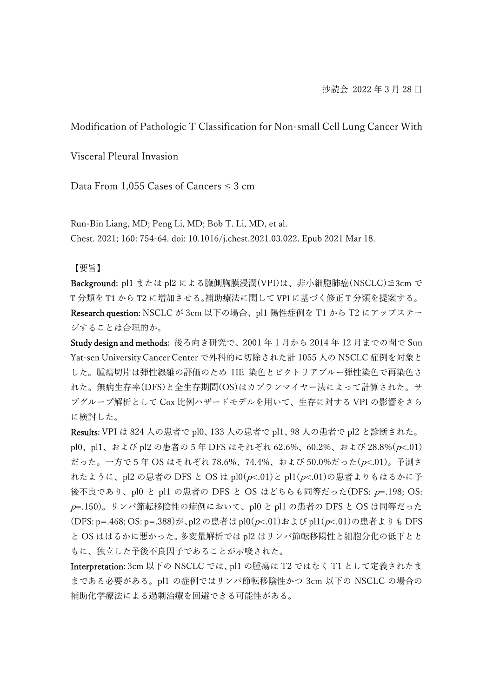Modification of Pathologic T Classification for Non-small Cell Lung Cancer With

Visceral Pleural Invasion

Data From 1,055 Cases of Cancers  $\leq 3$  cm

Run-Bin Liang, MD; Peng Li, MD; Bob T. Li, MD, et al. Chest. 2021; 160: 754-64. doi: 10.1016/j.chest.2021.03.022. Epub 2021 Mar 18.

【要旨】

Background: pl1 または pl2 による臓側胸膜浸潤(VPI)は、非小細胞肺癌(NSCLC)≦3cm で T 分類を T1 から T2 に増加させる。補助療法に関して VPI に基づく修正 T 分類を提案する。 Research question: NSCLC が 3cm 以下の場合、pl1 陽性症例を T1 から T2 にアップステー ジすることは合理的か。

Study design and methods: 後ろ向き研究で、2001 年 1 月から 2014 年 12 月までの間で Sun Yat-sen University Cancer Center で外科的に切除された計 1055 人の NSCLC 症例を対象と した。腫瘍切片は弾性線維の評価のため HE 染色とビクトリアブルー弾性染色で再染色さ れた。無病生存率(DFS)と全生存期間(OS)はカプランマイヤー法によって計算された。サ ブグループ解析として Cox 比例ハザードモデルを用いて、生存に対する VPI の影響をさら に検討した。

Results: VPI は 824 人の患者で pl0、133 人の患者で pl1、98 人の患者で pl2 と診断された。 pl0、pl1、および pl2 の患者の 5 年 DFS はそれぞれ 62.6%、60.2%、および 28.8%(p<.01) だった。一方で 5 年 OS はそれぞれ 78.6%、74.4%、および 50.0%だった(p<.01)。予測さ れたように、pl2 の患者の DFS と OS は pl0( $p$ <.01)と pl1( $p$ <.01)の患者よりもはるかに予 後不良であり、pl0 と pl1 の患者の DFS と OS はどちらも同等だった(DFS: p=.198; OS:  $p$ =.150)。リンパ節転移陰性の症例において、pl0 と pl1 の患者の DFS と OS は同等だった (DFS: p=.468; OS: p=.388)が、pl2 の患者は pl0(p<.01)および pl1(p<.01)の患者よりも DFS と OS ははるかに悪かった。多変量解析では pl2 はリンパ節転移陽性と細胞分化の低下とと もに、独立した予後不良因子であることが示唆された。

Interpretation: 3cm 以下の NSCLC では、pl1 の腫瘍は T2 ではなく T1 として定義されたま まである必要がある。pl1 の症例ではリンパ節転移陰性かつ 3cm 以下の NSCLC の場合の 補助化学療法による過剰治療を回避できる可能性がある。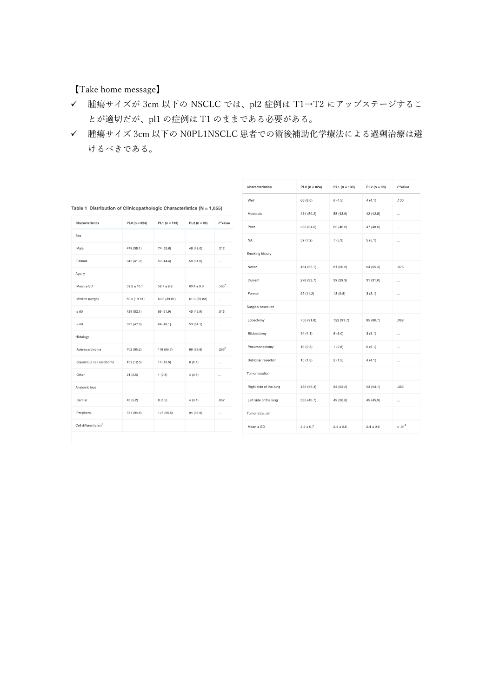【Take home message】

- 腫瘍サイズが 3cm 以下の NSCLC では、pl2 症例は T1→T2 にアップステージするこ とが適切だが、pl1 の症例は T1 のままである必要がある。
- 腫瘍サイズ 3cm 以下の N0PL1NSCLC 患者での術後補助化学療法による過剰治療は避 けるべきである。

| Characteristics                   | $PL0(n = 824)$  | $PL1(n = 133)$ | $PL2(n = 98)$  | P Value             |
|-----------------------------------|-----------------|----------------|----------------|---------------------|
| Sex                               |                 |                |                |                     |
| Male                              | 479 (58.1)      | 74 (55.6)      | 48 (49.0)      | .212                |
| Female                            | 345 (41.9)      | 59 (44.4)      | 50(51.0)       | i.                  |
| Age, y                            |                 |                |                |                     |
| $Mean + SD$                       | $59.2 \pm 10.1$ | $59.7 \pm 9.8$ | $60.4 \pm 9.6$ | $.565$ <sup>a</sup> |
| Median (range)                    | $60.0(19-81)$   | 60.0 (39-81)   | 61.0 (39-83)   |                     |
| $\leq 60$                         | 429 (52.1)      | 69 (51.9)      | 45 (45.9)      | .513                |
| >60                               | 395 (47.9)      | 64(48.1)       | 53 (54.1)      | a.                  |
| Histology                         |                 |                |                |                     |
| Adenocarcinoma                    | 702 (85.2)      | 118 (88.7)     | 88 (89.8)      | $295^b$             |
| Squamous cell carcinoma           | 101 (12.3)      | 14 (10.5)      | 6(6.1)         | i.                  |
| Other                             | 21(2,5)         | 1(0,8)         | 4(4.1)         | н.                  |
| Anatomic type                     |                 |                |                |                     |
| Central                           | 43 (5.2)        | 6(4.5)         | 4(4.1)         | 852                 |
| Peripheral                        | 781 (94.8)      | 127 (95.5)     | 94 (95.9)      | a d                 |
| Cell differentiation <sup>c</sup> |                 |                |                |                     |

| Characteristics        | $PL0(n = 824)$ | PL1 ( $n = 133$ ) | $PL2(n = 98)$ | P Value   |
|------------------------|----------------|-------------------|---------------|-----------|
| Well                   | 66 (8.0)       | 6(4,5)            | 4(4,1)        | .130      |
| Moderate               | 414 (50.2)     | 58 (43.6)         | 42 (42.8)     | .         |
| Poor                   | 285 (34.6)     | 62 (46.6)         | 47 (48.0)     | $\ddotsc$ |
| <b>NA</b>              | 59 (7.2)       | 7(5.3)            | 5(5.1)        | i.        |
| Smoking history        |                |                   |               |           |
| Never                  | 454 (55.1)     | 81 (60.9)         | 64 (65.3)     | .076      |
| Current                | 278 (33.7)     | 39 (29.3)         | 31 (31.6)     |           |
| Former                 | 92 (11.2)      | 13 (9.8)          | 3(3.1)        | i.        |
| Surgical resection     |                |                   |               |           |
| Lobectomy              | 756 (91.8)     | 122 (91.7)        | 85 (86.7)     | .089      |
| Bilobectomy            | 34(4,1)        | 8(6,0)            | 3(3,1)        | i i i     |
| Pneumonectomy          | 19(2,3)        | 1(0,8)            | 6(6.1)        | à.        |
| Subjobar resection     | 15(1,8)        | 2(1,5)            | 4(4,1)        | à.        |
| Tumor location         |                |                   |               |           |
| Right side of the lung | 489 (59.3)     | 84 (63.2)         | 53 (54.1)     | .382      |
| Left side of the lung  | 335 (40.7)     | 49 (36.8)         | 45 (45.9)     |           |
| Tumor size, cm         |                |                   |               |           |
| $Mean \pm SD$          | $2.2 \pm 0.7$  | $2.4 \pm 0.6$     | $2.4 \pm 0.6$ | $< 01^8$  |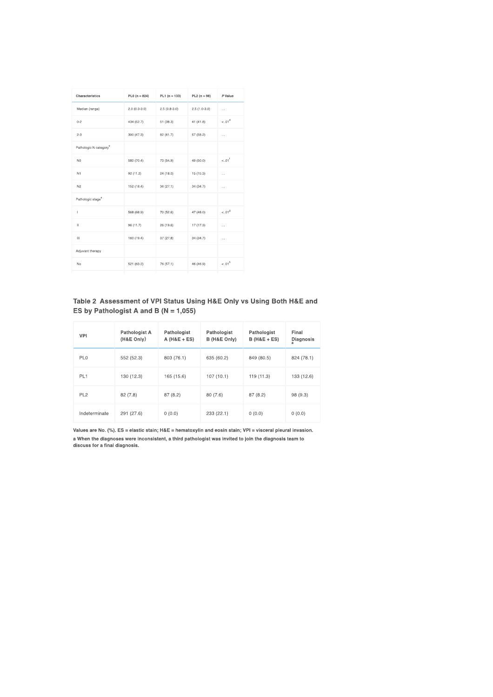| Characteristics                    | $PL0(n = 824)$ | $PL1(n = 133)$ | $PL2(n = 98)$  | P Value              |
|------------------------------------|----------------|----------------|----------------|----------------------|
| Median (range)                     | $2.0(0.3-3.0)$ | $2.5(0.8-3.0)$ | $2.5(1.0-3.0)$ | $\cdots$             |
| $0 - 2$                            | 434 (52.7)     | 51 (38.3)      | 41 (41.8)      | < 01 <sup>d</sup>    |
| $2 - 3$                            | 390 (47.3)     | 82 (61.7)      | 57 (58.2)      | $\sim$               |
| Pathologic N category <sup>®</sup> |                |                |                |                      |
| N <sub>0</sub>                     | 580 (70.4)     | 73 (54.9)      | 49 (50.0)      | $< .01$ <sup>f</sup> |
| N1                                 | 92 (11.2)      | 24 (18.0)      | 15 (15.3)      | $\sim$               |
| N2                                 | 152 (18.4)     | 36 (27.1)      | 34 (34.7)      | $\cdots$             |
| Pathologic stage <sup>e</sup>      |                |                |                |                      |
| т                                  | 568 (68.9)     | 70 (52.6)      | 47 (48.0)      | $< .01^9$            |
| Ш                                  | 96 (11.7)      | 26 (19.6)      | 17 (17.3)      | $\cdots$             |
| Ш                                  | 160 (19.4)     | 37 (27.8)      | 34 (34.7)      | $\cdots$             |
| Adjuvant therapy                   |                |                |                |                      |
| No                                 | 521 (63.2)     | 76 (57.1)      | 46 (46.9)      | $< 01^h$             |
|                                    |                |                |                |                      |

## Table 2 Assessment of VPI Status Using H&E Only vs Using Both H&E and ES by Pathologist A and B ( $N = 1,055$ )

| VPI             | Pathologist A<br>(H&E Only) | Pathologist<br>$A (H&E + ES)$ | Pathologist<br>B (H&E Only) | Pathologist<br>$B$ (H&E + ES) | Final<br>Diagnosis |
|-----------------|-----------------------------|-------------------------------|-----------------------------|-------------------------------|--------------------|
| PL <sub>0</sub> | 552 (52.3)                  | 803 (76.1)                    | 635 (60.2)                  | 849 (80.5)                    | 824 (78.1)         |
| PL <sub>1</sub> | 130 (12.3)                  | 165 (15.6)                    | 107(10.1)                   | 119 (11.3)                    | 133 (12.6)         |
| PL <sub>2</sub> | 82(7.8)                     | 87(8.2)                       | 80(7.6)                     | 87(8.2)                       | 98 (9.3)           |
| Indeterminate   | 291 (27.6)                  | 0(0.0)                        | 233 (22.1)                  | 0(0.0)                        | 0(0.0)             |

Values are No. (%). ES = elastic stain; H&E = hematoxylin and eosin stain; VPI = visceral pleural invasion. a When the diagnoses were inconsistent, a third pathologist was invited to join the diagnosis team to<br>discuss for a final diagnosis.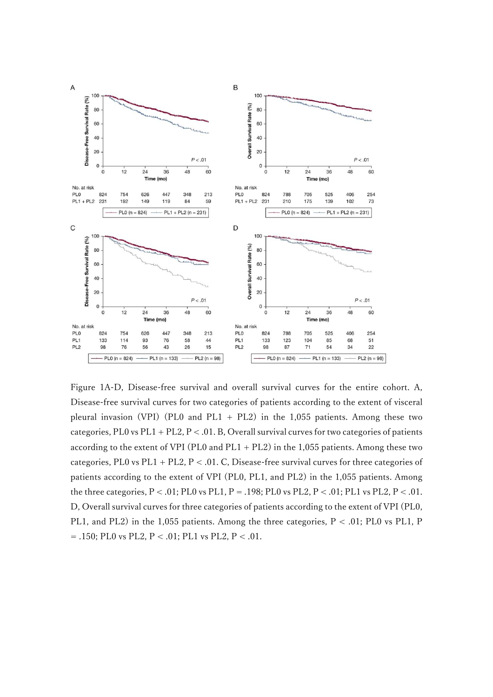

Figure 1A-D, Disease-free survival and overall survival curves for the entire cohort. A, Disease-free survival curves for two categories of patients according to the extent of visceral pleural invasion (VPI) (PL0 and PL1 + PL2) in the 1,055 patients. Among these two categories, PL0 vs PL1 + PL2,  $P < 0.01$ . B, Overall survival curves for two categories of patients according to the extent of VPI (PL0 and  $PL1 + PL2$ ) in the 1,055 patients. Among these two categories, PL0 vs PL1 + PL2,  $P < .01$ . C, Disease-free survival curves for three categories of patients according to the extent of VPI (PL0, PL1, and PL2) in the 1,055 patients. Among the three categories,  $P < .01$ ; PL0 vs PL1, P = .198; PL0 vs PL2, P < .01; PL1 vs PL2, P < .01. D, Overall survival curves for three categories of patients according to the extent of VPI (PL0, PL1, and PL2) in the 1,055 patients. Among the three categories, P < .01; PL0 vs PL1, P = .150; PL0 vs PL2, P < .01; PL1 vs PL2, P < .01.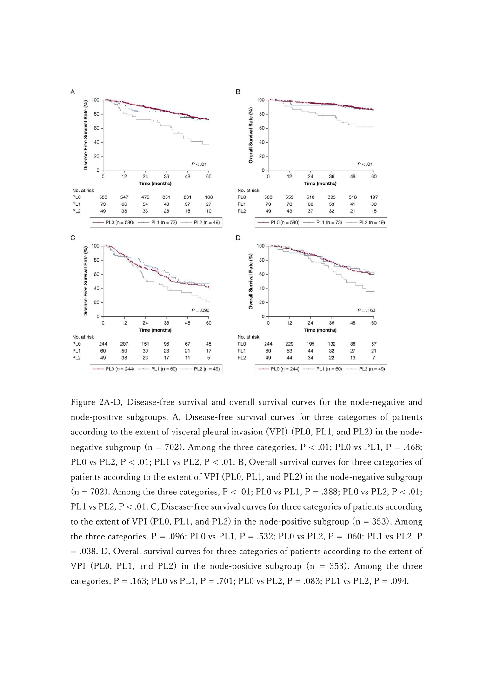

Figure 2A-D, Disease-free survival and overall survival curves for the node-negative and node-positive subgroups. A, Disease-free survival curves for three categories of patients according to the extent of visceral pleural invasion (VPI) (PL0, PL1, and PL2) in the nodenegative subgroup ( $n = 702$ ). Among the three categories,  $P < .01$ ; PL0 vs PL1, P = .468; PL0 vs PL2, P < .01; PL1 vs PL2, P < .01. B, Overall survival curves for three categories of patients according to the extent of VPI (PL0, PL1, and PL2) in the node-negative subgroup  $(n = 702)$ . Among the three categories, P < .01; PL0 vs PL1, P = .388; PL0 vs PL2, P < .01; PL1 vs PL2, P < .01. C, Disease-free survival curves for three categories of patients according to the extent of VPI (PL0, PL1, and PL2) in the node-positive subgroup  $(n = 353)$ . Among the three categories,  $P = .096$ ; PL0 vs PL1,  $P = .532$ ; PL0 vs PL2,  $P = .060$ ; PL1 vs PL2, P = .038. D, Overall survival curves for three categories of patients according to the extent of VPI (PL0, PL1, and PL2) in the node-positive subgroup  $(n = 353)$ . Among the three categories, P = .163; PL0 vs PL1, P = .701; PL0 vs PL2, P = .083; PL1 vs PL2, P = .094.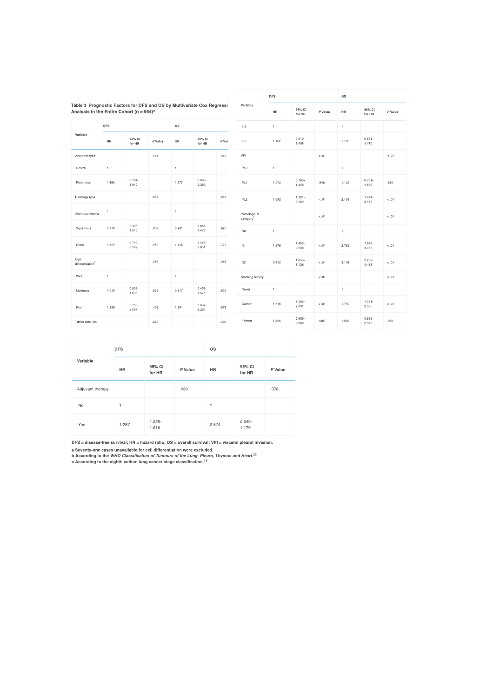|                                                                                                                                   |              |                    |         |              |                    |         | <b>DFS</b>               |              |                    | 0S      |              |                    |
|-----------------------------------------------------------------------------------------------------------------------------------|--------------|--------------------|---------|--------------|--------------------|---------|--------------------------|--------------|--------------------|---------|--------------|--------------------|
| Table 3 Prognostic Factors for DFS and OS by Multivariate Cox Regressi<br>Analysis in the Entire Cohort (n = $984$ ) <sup>a</sup> |              |                    |         |              |                    |         | Variable                 | <b>HR</b>    | 95% CI<br>for HR   | P Value | <b>HR</b>    | 95% CI<br>for HR   |
|                                                                                                                                   | <b>DFS</b>   |                    |         | <b>OS</b>    |                    |         | $0 - 2$                  | $\mathbf{1}$ |                    |         | 1            |                    |
| Variable                                                                                                                          | HR           | 95% CI<br>for HR   | P Value | HR           | 95% CI<br>for HR   | $P$ Val | $2 - 3$                  | 1.132        | $0.910 -$<br>1,408 |         | 1.106        | $0.831 -$<br>1,470 |
| Anatomic type                                                                                                                     |              |                    | .561    |              |                    | ,443    | VPI                      |              |                    | < 0.1   |              |                    |
| Central                                                                                                                           | $\uparrow$   |                    |         | 1            |                    |         | PLO                      | $\ddagger$   |                    |         | 1            |                    |
| Peripheral                                                                                                                        | 1.160        | $0,704 -$<br>1,910 |         | 1,277        | 0,683-<br>2,389    |         | PL1                      | 1.072        | $0.795 -$<br>1,448 | .648    | 1.123        | $0,761-$<br>1,659  |
| Histology type                                                                                                                    |              |                    | ,067    |              |                    | ,951    | PL <sub>2</sub>          | 1,692        | $1.251 -$<br>2.289 | < 0.01  | 2,169        | 1.494<br>3,149     |
| Adenocarcinoma                                                                                                                    | $\,$ 1       |                    |         | 1            |                    |         | Pathologic N<br>category |              |                    | $-.01$  |              |                    |
| Squamous                                                                                                                          | 0.710        | $0.498 -$<br>1.010 | .057    | 0.981        | $0.651 -$<br>1,477 | .925    | N <sub>0</sub>           | $\mathbf{1}$ |                    |         | 1            |                    |
| Other                                                                                                                             | 1.527        | $0,740-$<br>3.149  | .252    | 1,145        | $0.459 -$<br>2.854 | .771    | N1                       | 1.976        | $1.453 -$<br>2,688 | < 0.01  | 2.765        | 1.870-<br>4,089    |
| Cell<br>differentiation <sup>b</sup>                                                                                              |              |                    | .253    |              |                    | .065    | N <sub>2</sub>           | 2.412        | 1.855-<br>3,136    | $-.01$  | 3.118        | 2.203-<br>4,413    |
| Well                                                                                                                              | $\mathbb{1}$ |                    |         | $\mathbf{1}$ |                    |         | Smoking history          |              |                    | < 01    |              |                    |
| Moderate                                                                                                                          | 1,019        | $0.633 -$<br>1,638 | .939    | 0.847        | 0.456-<br>1,575    | .600    | Never                    | $\ddagger$   |                    |         | $\mathbf{1}$ |                    |
| Poor                                                                                                                              | 1,229        | $0.753 -$<br>2,007 | .409    | 1.201        | 0.637-<br>2,261    | .572    | Current                  | 1,616        | 1.286-<br>2,031    | < 0.01  | 1,730        | $1,281-$<br>2,335  |
| Tumor size, cm                                                                                                                    |              |                    | .265    |              |                    | ,490    | Former                   | 1,386        | 0.956-<br>2.009    | ,085    | 1,583        | 0.985<br>2,545     |

 $\boldsymbol{P}$ Value

 $< 0.1$ 

.559

 $<.01$ 

 $<.01$ 

 $<.01$ 

 $< 01$  $< 01$ 

 $<.01$ 

 $.058$ 

| Variable         | <b>DFS</b> |                    |         | <b>OS</b> |                    |         |
|------------------|------------|--------------------|---------|-----------|--------------------|---------|
|                  | <b>HR</b>  | 95% CI<br>for HR   | P Value | <b>HR</b> | 95% CI<br>for HR   | P Value |
| Adjuvant therapy |            |                    | .030    |           |                    | .378    |
| <b>No</b>        | 1          |                    |         | 1         |                    |         |
| Yes              | 1.287      | $1,025 -$<br>1,616 |         | 0.874     | $0.648 -$<br>1.179 |         |

DFS = disease-free survival; HR = hazard ratio; OS = overall survival; VPI = visceral pleural invasion.

 $B = 0.3$ <br>
Seventy-one cases unavailable for cell differentiation were excluded.<br>
A Seconding to the WHO Classification of Tumours of the Lung, Pleura, Thymus and Heart.<sup>30</sup><br>
c According to the eighth edition lung cancer s